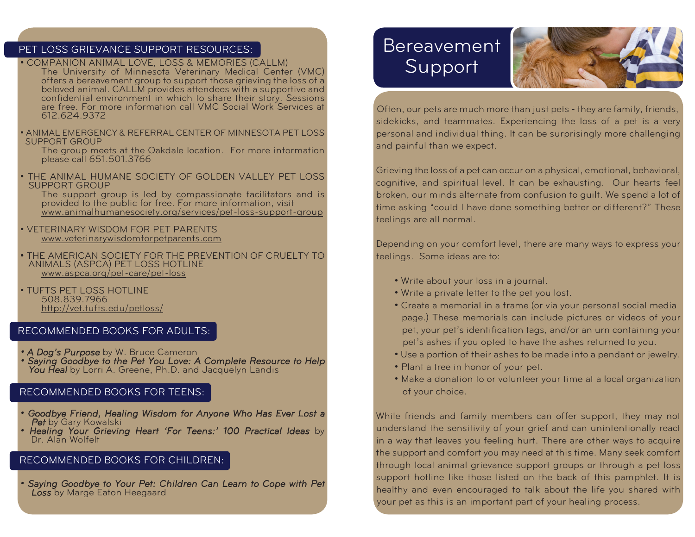## PET LOSS GRIEVANCE SUPPORT RESOURCES:

• COMPANION ANIMAL LOVE, LOSS & MEMORIES (CALLM)<br>The University of Minnesota Veterinary Medical Center (VMC)<br> offers a bereavement group to support those grieving the loss of a beloved animal. CALLM provides attendees with a supportive and confidential environment in which to share their story. Sessions are free. For more information call VMC Social Work Services at 612.624.9372

#### • ANIMAL EMERGENCY & REFERRAL CENTER OF MINNESOTA PET LOSS SUPPORT GROUP

The group meets at the Oakdale location. For more information please call 651.501.3766

• THE ANIMAL HUMANE SOCIETY OF GOLDEN VALLEY PET LOSS SUPPORT GROUP

The support group is led by compassionate facilitators and is provided to the public for free. For more information, visit www.animalhumanesociety.org/services/pet-loss-support-group

- VETERINARY WISDOM FOR PET PARENTS www.veterinarywisdomforpetparents.com
- THE AMERICAN SOCIETY FOR THE PREVENTION OF CRUELTY TO ANIMALS (ASPCA) PET LOSS HOTLINE www.aspca.org/pet-care/pet-loss
- TUFTS PET LOSS HOTLINE 508.839.7966 http://vet.tufts.edu/petloss/

### RECOMMENDED BOOKS FOR ADULTS:

- A Dog's Purpose by W. Bruce Cameron
- Saying Goodbye to the Pet You Love: A Complete Resource to Help You Heal by Lorri A. Greene, Ph.D. and Jacquelyn Landis

# RECOMMENDED BOOKS FOR TEENS:

- Goodbye Friend, Healing Wisdom for Anyone Who Has Ever Lost a Pet by Gary Kowalski
- Healing Your Grieving Heart 'For Teens:' 100 Practical Ideas by Dr. Alan Wolfelt

# RECOMMENDED BOOKS FOR CHILDREN:

• Saying Goodbye to Your Pet: Children Can Learn to Cope with Pet Loss by Marge Eaton Heegaard

# Bereavement



Often, our pets are much more than just pets - they are family, friends, sidekicks, and teammates. Experiencing the loss of a pet is a very personal and individual thing. It can be surprisingly more challenging and painful than we expect.

Grieving the loss of a pet can occur on a physical, emotional, behavioral, cognitive, and spiritual level. It can be exhausting. Our hearts feel broken, our minds alternate from confusion to guilt. We spend a lot of time asking "could I have done something better or different?" These feelings are all normal.

Depending on your comfort level, there are many ways to express your feelings. Some ideas are to:

- Write about your loss in a journal.
- Write a private letter to the pet you lost.
- Create a memorial in a frame (or via your personal social media page.) These memorials can include pictures or videos of your pet, your pet's identification tags, and/or an urn containing your pet's ashes if you opted to have the ashes returned to you.
- Use a portion of their ashes to be made into a pendant or jewelry.
- Plant a tree in honor of your pet.
- Make a donation to or volunteer your time at a local organization of your choice.

While friends and family members can offer support, they may not understand the sensitivity of your grief and can unintentionally react in a way that leaves you feeling hurt. There are other ways to acquire the support and comfort you may need at this time. Many seek comfort through local animal grievance support groups or through a pet loss support hotline like those listed on the back of this pamphlet. It is healthy and even encouraged to talk about the life you shared with your pet as this is an important part of your healing process.